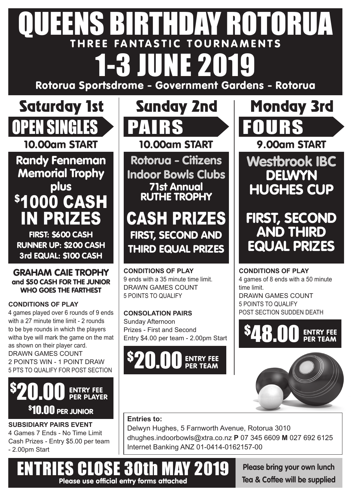# QUEENS BIRTHDAY ROTORUA **THREE FANTASTIC TOURNAMENTS** 1-3 JUNE 2019

**Rotorua Sportsdrome - Government Gardens - Rotorua**





**Randy Fenneman Memorial Trophy plus** \$1000 CASH IN PRIZES

**FIRST: \$600 CASH RUNNER UP: \$200 CASH 3rd EQUAL: \$100 CASH**

**GRAHAM CAIE TROPHY and \$50 CASH FOR THE JUNIOR WHO GOES THE FARTHEST**

### **CONDITIONS OF PLAY**

4 games played over 6 rounds of 9 ends with a 27 minute time limit - 2 rounds to be bye rounds in which the players witha bye will mark the game on the mat as shown on their player card. DRAWN GAMES COUNT 2 POINTS WIN - 1 POINT DRAW 5 PTS TO QUALIFY FOR POST SECTION



**SUBSIDIARY PAIRS EVENT** 4 Games 7 Ends - No Time Limit Cash Prizes - Entry \$5.00 per team - 2.00pm Start

**10.00am START 10.00am START 9.00am START Rotorua - Citizens Indoor Bowls Clubs 71st Annual RUTHE TROPHY**

## CASH PRIZES **FIRST, SECOND AND THIRD EQUAL PRIZES**

**CONDITIONS OF PLAY** 9 ends with a 35 minute time limit. DRAWN GAMES COUNT 5 POINTS TO QUALIFY

**CONSOLATION PAIRS** Sunday Afternoon Prizes - First and Second Entry \$4.00 per team - 2.00pm Start

### **ENTRY FEE PER TEAM** \$ 20.00



**FIRST, SECOND AND THIRD EQUAL PRIZES**

**HUGHES CUP**

**CONDITIONS OF PLAY** 4 games of 8 ends with a 50 minute time limit. DRAWN GAMES COUNT 5 POINTS TO QUALIFY POST SECTION SUDDEN DEATH

#### **ENTRY FEE PER TEAM** \$ 48.00



**Entries to:** Delwyn Hughes, 5 Farnworth Avenue, Rotorua 3010 dhughes.indoorbowls@xtra.co.nz **P** 07 345 6609 **M** 027 692 6125 Internet Banking ANZ 01-0414-0162157-00

ENTRIES CLOSE 30th MAY 2019 **Please use official entry forms attached**

**Please bring your own lunch Tea & Coffee will be supplied**